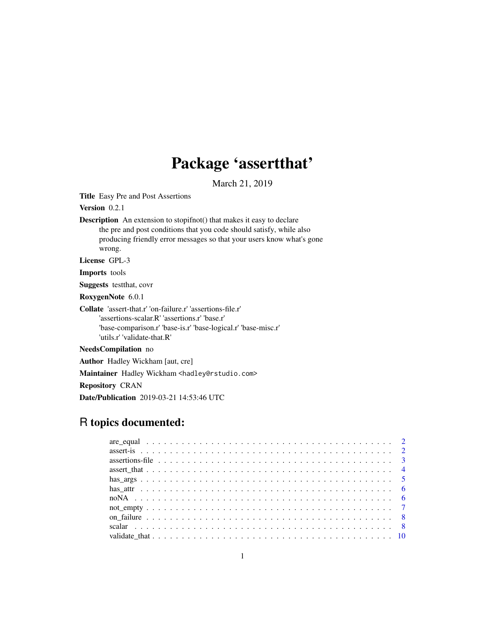## Package 'assertthat'

March 21, 2019

<span id="page-0-0"></span>Title Easy Pre and Post Assertions

Version 0.2.1

Description An extension to stopifnot() that makes it easy to declare the pre and post conditions that you code should satisfy, while also producing friendly error messages so that your users know what's gone wrong.

License GPL-3

Imports tools

Suggests testthat, covr

RoxygenNote 6.0.1

Collate 'assert-that.r' 'on-failure.r' 'assertions-file.r' 'assertions-scalar.R' 'assertions.r' 'base.r' 'base-comparison.r' 'base-is.r' 'base-logical.r' 'base-misc.r' 'utils.r' 'validate-that.R'

NeedsCompilation no

Author Hadley Wickham [aut, cre]

Maintainer Hadley Wickham <hadley@rstudio.com>

Repository CRAN

Date/Publication 2019-03-21 14:53:46 UTC

### R topics documented: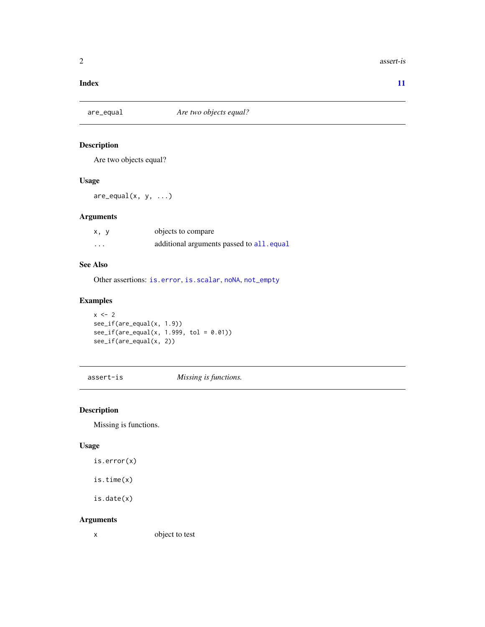#### <span id="page-1-0"></span>2 assert-is

#### **Index** [11](#page-10-0)

<span id="page-1-2"></span>

### Description

Are two objects equal?

#### Usage

 $are\_equal(x, y, ...)$ 

#### Arguments

| x, y                 | objects to compare                        |
|----------------------|-------------------------------------------|
| $\ddot{\phantom{0}}$ | additional arguments passed to all. equal |

#### See Also

Other assertions: [is.error](#page-1-1), [is.scalar](#page-7-1), [noNA](#page-5-1), [not\\_empty](#page-6-1)

#### Examples

```
x < -2see_if(are_equal(x, 1.9))
see_i f(are\_equal(x, 1.999, tol = 0.01))see_if(are_equal(x, 2))
```
assert-is *Missing is functions.*

### <span id="page-1-1"></span>Description

Missing is functions.

#### Usage

is.error(x)

is.time(x)

is.date(x)

#### Arguments

x object to test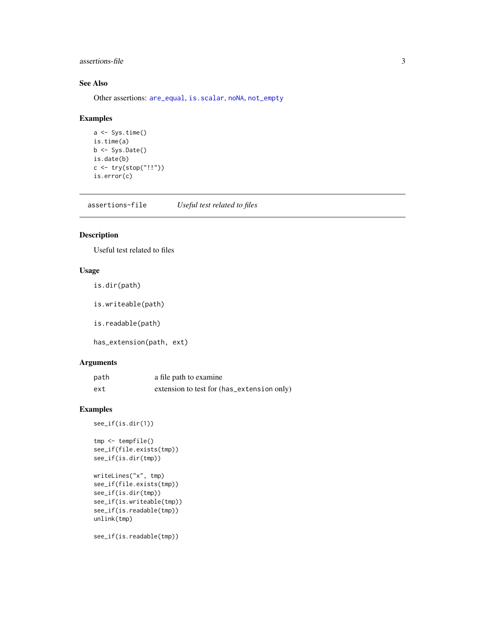#### <span id="page-2-0"></span>assertions-file 3

#### See Also

Other assertions: [are\\_equal](#page-1-2), [is.scalar](#page-7-1), [noNA](#page-5-1), [not\\_empty](#page-6-1)

#### Examples

```
a <- Sys.time()
is.time(a)
b <- Sys.Date()
is.date(b)
c <- try(stop("!!"))
is.error(c)
```
assertions-file *Useful test related to files*

#### Description

Useful test related to files

#### Usage

is.dir(path)

is.writeable(path)

is.readable(path)

has\_extension(path, ext)

#### Arguments

| path | a file path to examine                     |
|------|--------------------------------------------|
| ext  | extension to test for (has_extension only) |

#### Examples

```
see_if(is.dir(1))
```

```
tmp <- tempfile()
see_if(file.exists(tmp))
see_if(is.dir(tmp))
writeLines("x", tmp)
see_if(file.exists(tmp))
see_if(is.dir(tmp))
see_if(is.writeable(tmp))
see_if(is.readable(tmp))
unlink(tmp)
```
see\_if(is.readable(tmp))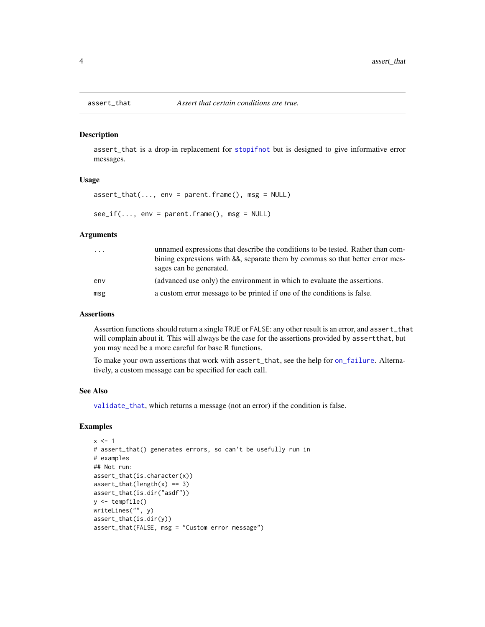assert\_that is a drop-in replacement for [stopifnot](#page-0-0) but is designed to give informative error messages.

#### Usage

```
assert\_that(..., env = parent.find(), msg = NULL)see_i f(..., env = parent-frame(), msg = NULL)
```
#### Arguments

| .   | unnamed expressions that describe the conditions to be tested. Rather than com-<br>bining expressions with &&, separate them by commas so that better error mes-<br>sages can be generated. |
|-----|---------------------------------------------------------------------------------------------------------------------------------------------------------------------------------------------|
| env | (advanced use only) the environment in which to evaluate the assertions.                                                                                                                    |
| msg | a custom error message to be printed if one of the conditions is false.                                                                                                                     |

#### Assertions

Assertion functions should return a single TRUE or FALSE: any other result is an error, and assert\_that will complain about it. This will always be the case for the assertions provided by assertthat, but you may need be a more careful for base R functions.

To make your own assertions that work with assert\_that, see the help for [on\\_failure](#page-7-2). Alternatively, a custom message can be specified for each call.

#### See Also

[validate\\_that](#page-9-1), which returns a message (not an error) if the condition is false.

```
x \le -1# assert_that() generates errors, so can't be usefully run in
# examples
## Not run:
assert_that(is.character(x))
assert\_that(length(x) == 3)assert_that(is.dir("asdf"))
y <- tempfile()
writeLines("", y)
assert_that(is.dir(y))
assert_that(FALSE, msg = "Custom error message")
```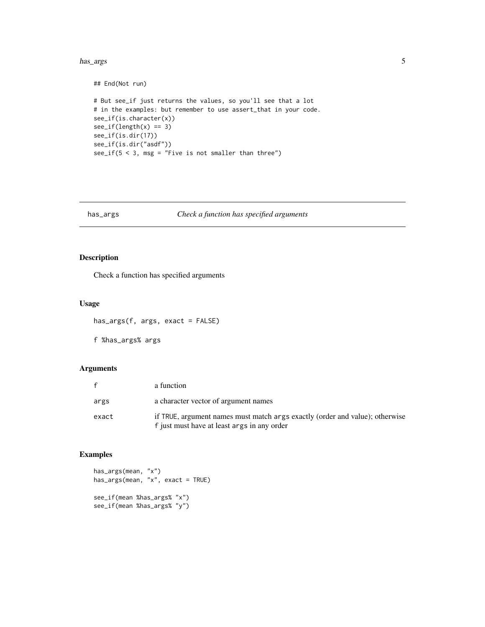#### <span id="page-4-0"></span>has\_args 5

```
## End(Not run)
# But see_if just returns the values, so you'll see that a lot
# in the examples: but remember to use assert_that in your code.
see_if(is.character(x))
see_i f(length(x) == 3)see_if(is.dir(17))
see_if(is.dir("asdf"))
see_if(5 < 3, msg = "Five is not smaller than three")
```
#### has\_args *Check a function has specified arguments*

#### Description

Check a function has specified arguments

#### Usage

has\_args(f, args, exact = FALSE)

f %has\_args% args

#### Arguments

| $\mathbf{f}$ | a function                                                                                                                  |
|--------------|-----------------------------------------------------------------------------------------------------------------------------|
| args         | a character vector of argument names                                                                                        |
| exact        | if TRUE, argument names must match args exactly (order and value); otherwise<br>f just must have at least args in any order |

```
has_args(mean, "x")
has_args(mean, "x", exact = TRUE)
see_if(mean %has_args% "x")
see_if(mean %has_args% "y")
```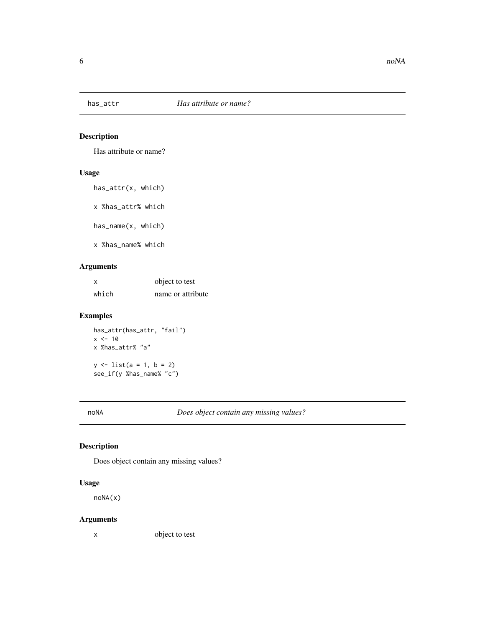<span id="page-5-0"></span>

Has attribute or name?

#### Usage

has\_attr(x, which)

x %has\_attr% which

has\_name(x, which)

x %has\_name% which

#### Arguments

| $\boldsymbol{\mathsf{x}}$ | object to test    |
|---------------------------|-------------------|
| which                     | name or attribute |

#### Examples

has\_attr(has\_attr, "fail")  $x < -10$ x %has\_attr% "a"  $y \le -\text{list}(a = 1, b = 2)$ see\_if(y %has\_name% "c")

<span id="page-5-1"></span>noNA *Does object contain any missing values?*

#### Description

Does object contain any missing values?

#### Usage

noNA(x)

#### Arguments

x object to test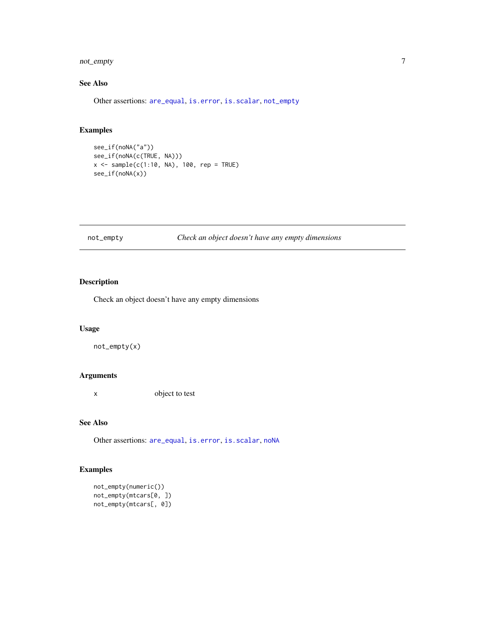### <span id="page-6-0"></span>not\_empty 7

### See Also

Other assertions: [are\\_equal](#page-1-2), [is.error](#page-1-1), [is.scalar](#page-7-1), [not\\_empty](#page-6-1)

#### Examples

```
see_if(noNA("a"))
see_if(noNA(c(TRUE, NA)))
x <- sample(c(1:10, NA), 100, rep = TRUE)
see_if(noNA(x))
```
#### <span id="page-6-1"></span>not\_empty *Check an object doesn't have any empty dimensions*

#### Description

Check an object doesn't have any empty dimensions

#### Usage

not\_empty(x)

#### Arguments

x object to test

#### See Also

Other assertions: [are\\_equal](#page-1-2), [is.error](#page-1-1), [is.scalar](#page-7-1), [noNA](#page-5-1)

```
not_empty(numeric())
not_empty(mtcars[0, ])
not_empty(mtcars[, 0])
```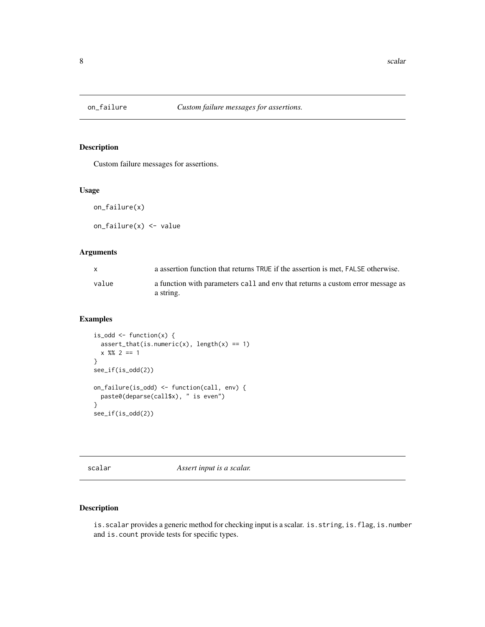<span id="page-7-2"></span><span id="page-7-0"></span>

Custom failure messages for assertions.

#### Usage

on\_failure(x) on\_failure(x) <- value

#### Arguments

| $\mathbf{x}$ | a assertion function that returns TRUE if the assertion is met. FALSE otherwise.            |
|--------------|---------------------------------------------------------------------------------------------|
| value        | a function with parameters call and env that returns a custom error message as<br>a string. |

#### Examples

```
is\_odd \leq function(x) {
  assert\_that(is.numeric(x), length(x) == 1)x %82 == 1}
see_if(is_odd(2))
on_failure(is_odd) <- function(call, env) {
  paste0(deparse(call$x), " is even")
}
see_if(is_odd(2))
```
scalar *Assert input is a scalar.*

#### <span id="page-7-1"></span>Description

is.scalar provides a generic method for checking input is a scalar. is.string, is.flag, is.number and is.count provide tests for specific types.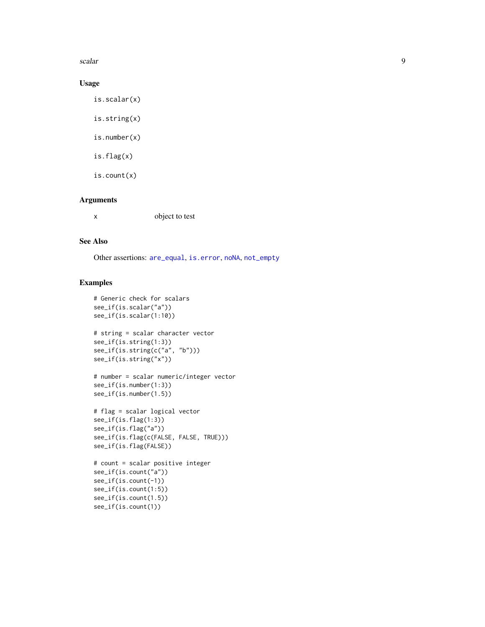<span id="page-8-0"></span>scalar  $\sim$  9

#### Usage

is.scalar(x)

is.string(x)

is.number(x)

is.flag(x)

is.count(x)

#### Arguments

x object to test

#### See Also

Other assertions: [are\\_equal](#page-1-2), [is.error](#page-1-1), [noNA](#page-5-1), [not\\_empty](#page-6-1)

```
# Generic check for scalars
see_if(is.scalar("a"))
see_if(is.scalar(1:10))
# string = scalar character vector
see_if(is.string(1:3))
see_if(is.string(c("a", "b")))
see_if(is.string("x"))
```

```
# number = scalar numeric/integer vector
see_if(is.number(1:3))
see_if(is.number(1.5))
```

```
# flag = scalar logical vector
see_if(is.flag(1:3))
see_if(is.flag("a"))
see_if(is.flag(c(FALSE, FALSE, TRUE)))
see_if(is.flag(FALSE))
```

```
# count = scalar positive integer
see_if(is.count("a"))
see_if(is.count(-1))
see_if(is.count(1:5))
see_if(is.count(1.5))
see_if(is.count(1))
```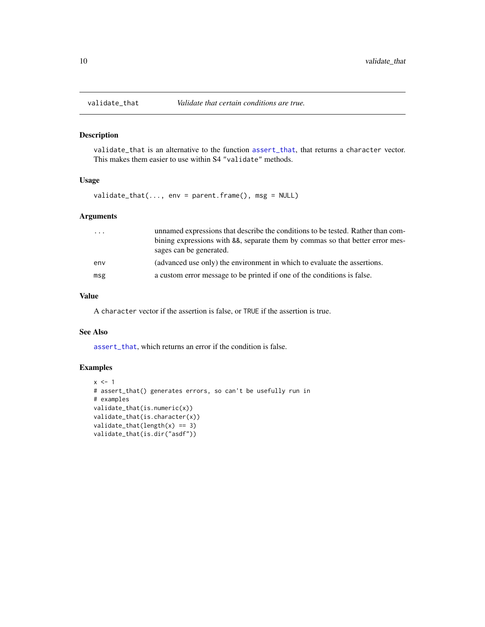<span id="page-9-1"></span><span id="page-9-0"></span>

validate\_that is an alternative to the function [assert\\_that](#page-3-1), that returns a character vector. This makes them easier to use within S4 "validate" methods.

#### Usage

validate\_that(..., env = parent.frame(), msg = NULL)

#### Arguments

| $\cdot$ $\cdot$ $\cdot$ | unnamed expressions that describe the conditions to be tested. Rather than com-<br>bining expressions with &&, separate them by commas so that better error mes-<br>sages can be generated. |
|-------------------------|---------------------------------------------------------------------------------------------------------------------------------------------------------------------------------------------|
| env                     | (advanced use only) the environment in which to evaluate the assertions.                                                                                                                    |
| msg                     | a custom error message to be printed if one of the conditions is false.                                                                                                                     |

#### Value

A character vector if the assertion is false, or TRUE if the assertion is true.

#### See Also

[assert\\_that](#page-3-1), which returns an error if the condition is false.

```
x \le -1# assert_that() generates errors, so can't be usefully run in
# examples
validate_that(is.numeric(x))
validate_that(is.character(x))
validate_that(length(x) == 3)
validate_that(is.dir("asdf"))
```